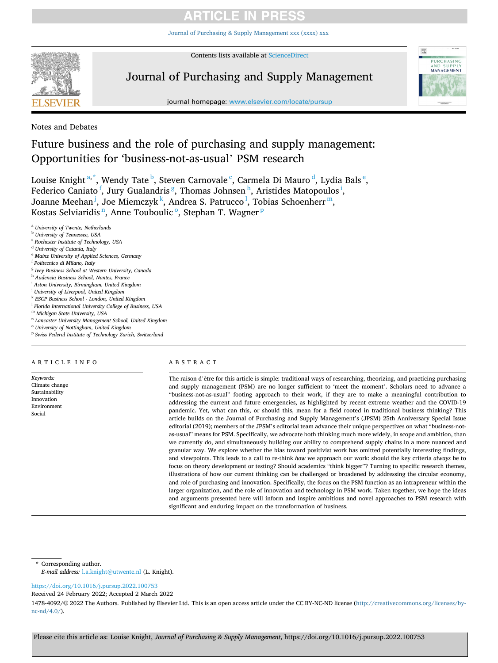[Journal of Purchasing & Supply Management xxx \(xxxx\) xxx](https://doi.org/10.1016/j.pursup.2022.100753)



Contents lists available at [ScienceDirect](www.sciencedirect.com/science/journal/14784092)

## Journal of Purchasing and Supply Management



journal homepage: [www.elsevier.com/locate/pursup](https://www.elsevier.com/locate/pursup) 

Notes and Debates

## Future business and the role of purchasing and supply management: Opportunities for 'business-not-as-usual' PSM research

Louise Knight  $a^*$ , Wendy Tate  $^{\sf b}$ , Steven Carnovale  $^{\sf c}$ , Carmela Di Mauro  $^{\sf d}$ , Lydia Bals  $^{\sf e}$ , Federico Caniato <sup>f</sup>, Jury Gualandris <sup>g</sup>, Thomas Johnsen <sup>h</sup>, Aristides Matopoulos <sup>i</sup>, Joanne Meehan<sup>j</sup>, Joe Miemczyk<sup>k</sup>, Andrea S. Patrucco<sup>1</sup>, Tobias Schoenherr<sup>m</sup>, Kostas Selviaridis<sup>n</sup>, Anne Touboulic<sup>o</sup>, Stephan T. Wagner<sup>p</sup>

<sup>a</sup> *University of Twente, Netherlands* 

- <sup>b</sup> *University of Tennessee, USA*
- <sup>c</sup> *Rochester Institute of Technology, USA*
- <sup>d</sup> *University of Catania, Italy*
- <sup>e</sup> *Mainz University of Applied Sciences, Germany*
- <sup>f</sup> *Politecnico di Milano, Italy*
- <sup>g</sup> *Ivey Business School at Western University, Canada*
- <sup>h</sup> *Audencia Business School, Nantes, France*
- <sup>i</sup> *Aston University, Birmingham, United Kingdom*
- <sup>j</sup> *University of Liverpool, United Kingdom*
- <sup>k</sup> *ESCP Business School London, United Kingdom*
- <sup>l</sup> *Florida International University College of Business, USA*
- <sup>m</sup> *Michigan State University, USA*
- <sup>n</sup> *Lancaster University Management School, United Kingdom*
- <sup>o</sup> *University of Nottingham, United Kingdom*
- <sup>p</sup> *Swiss Federal Institute of Technology Zurich, Switzerland*

## ARTICLE INFO

*Keywords:*  Climate change Sustainability Innovation Environment Social

## ABSTRACT

The raison d'être for this article is simple: traditional ways of researching, theorizing, and practicing purchasing and supply management (PSM) are no longer sufficient to 'meet the moment'. Scholars need to advance a "business-not-as-usual" footing approach to their work, if they are to make a meaningful contribution to addressing the current and future emergencies, as highlighted by recent extreme weather and the COVID-19 pandemic. Yet, what can this, or should this, mean for a field rooted in traditional business thinking? This article builds on the Journal of Purchasing and Supply Management's (JPSM) 25th Anniversary Special Issue editorial (2019); members of the JPSM's editorial team advance their unique perspectives on what "business-notas-usual" means for PSM. Specifically, we advocate both thinking much more widely, in scope and ambition, than we currently do, and simultaneously building our ability to comprehend supply chains in a more nuanced and granular way. We explore whether the bias toward positivist work has omitted potentially interesting findings, and viewpoints. This leads to a call to re-think *how* we approach our work: should the key criteria *always* be to focus on theory development or testing? Should academics "think bigger"? Turning to specific research themes, illustrations of how our current thinking can be challenged or broadened by addressing the circular economy, and role of purchasing and innovation. Specifically, the focus on the PSM function as an intrapreneur within the larger organization, and the role of innovation and technology in PSM work. Taken together, we hope the ideas and arguments presented here will inform and inspire ambitious and novel approaches to PSM research with significant and enduring impact on the transformation of business.

\* Corresponding author.

*E-mail address:* [l.a.knight@utwente.nl](mailto:l.a.knight@utwente.nl) (L. Knight).

<https://doi.org/10.1016/j.pursup.2022.100753>

Received 24 February 2022; Accepted 2 March 2022

1478-4092/© 2022 The Authors. Published by Elsevier Ltd. This is an open access article under the CC BY-NC-ND license [\(http://creativecommons.org/licenses/by](http://creativecommons.org/licenses/by-nc-nd/4.0/) $nc\text{-}nd/4.0/$ ).

Please cite this article as: Louise Knight, *Journal of Purchasing & Supply Management*, https://doi.org/10.1016/j.pursup.2022.100753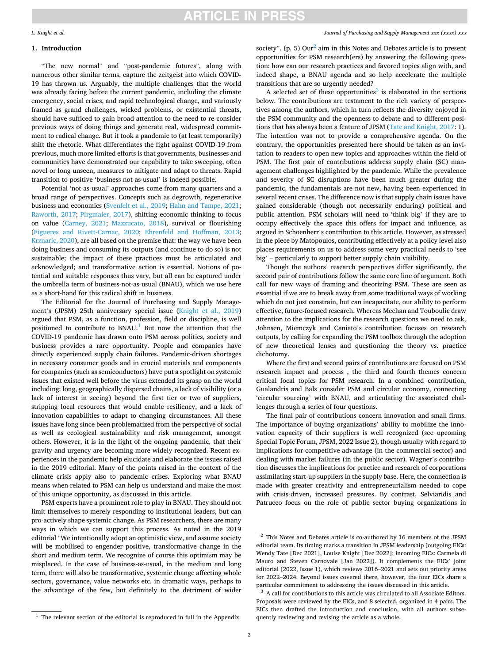#### *L. Knight et al.*

## **1. Introduction**

"The new normal" and "post-pandemic futures", along with numerous other similar terms, capture the zeitgeist into which COVID-19 has thrown us. Arguably, the multiple challenges that the world was already facing before the current pandemic, including the climate emergency, social crises, and rapid technological change, and variously framed as grand challenges, wicked problems, or existential threats, should have sufficed to gain broad attention to the need to re-consider previous ways of doing things and generate real, widespread commitment to radical change. But it took a pandemic to (at least temporarily) shift the rhetoric. What differentiates the fight against COVID-19 from previous, much more limited efforts is that governments, businesses and communities have demonstrated our capability to take sweeping, often novel or long unseen, measures to mitigate and adapt to threats. Rapid transition to positive 'business not-as-usual' is indeed possible.

Potential 'not-as-usual' approaches come from many quarters and a broad range of perspectives. Concepts such as degrowth, regenerative business and economics [\(Svenfelt et al., 2019](#page-11-0); [Hahn and Tampe, 2021](#page-10-0); [Raworth, 2017;](#page-11-0) [Pirgmaier, 2017\)](#page-11-0), shifting economic thinking to focus on value ([Carney, 2021](#page-9-0); [Mazzucato, 2018](#page-10-0)), survival or flourishing ([Figueres and Rivett-Carnac, 2020](#page-10-0); [Ehrenfeld and Hoffman, 2013](#page-10-0); [Krznaric, 2020](#page-10-0)), are all based on the premise that: the way we have been doing business and consuming its outputs (and continue to do so) is not sustainable; the impact of these practices must be articulated and acknowledged; and transformative action is essential. Notions of potential and suitable responses thus vary, but all can be captured under the umbrella term of business-not-as-usual (BNAU), which we use here as a short-hand for this radical shift in business.

The Editorial for the Journal of Purchasing and Supply Management's (JPSM) 25th anniversary special issue [\(Knight et al., 2019\)](#page-10-0) argued that PSM, as a function, profession, field or discipline, is well positioned to contribute to  $BNAU<sup>1</sup>$  But now the attention that the COVID-19 pandemic has drawn onto PSM across politics, society and business provides a rare opportunity. People and companies have directly experienced supply chain failures. Pandemic-driven shortages in necessary consumer goods and in crucial materials and components for companies (such as semiconductors) have put a spotlight on systemic issues that existed well before the virus extended its grasp on the world including: long, geographically dispersed chains, a lack of visibility (or a lack of interest in seeing) beyond the first tier or two of suppliers, stripping local resources that would enable resiliency, and a lack of innovation capabilities to adapt to changing circumstances. All these issues have long since been problematized from the perspective of social as well as ecological sustainability and risk management, amongst others. However, it is in the light of the ongoing pandemic, that their gravity and urgency are becoming more widely recognized. Recent experiences in the pandemic help elucidate and elaborate the issues raised in the 2019 editorial. Many of the points raised in the context of the climate crisis apply also to pandemic crises. Exploring what BNAU means when related to PSM can help us understand and make the most of this unique opportunity, as discussed in this article.

PSM experts have a prominent role to play in BNAU. They should not limit themselves to merely responding to institutional leaders, but can pro-actively shape systemic change. As PSM researchers, there are many ways in which we can support this process. As noted in the 2019 editorial "We intentionally adopt an optimistic view, and assume society will be mobilised to engender positive, transformative change in the short and medium term. We recognize of course this optimism may be misplaced. In the case of business-as-usual, in the medium and long term, there will also be transformative, systemic change affecting whole sectors, governance, value networks etc. in dramatic ways, perhaps to the advantage of the few, but definitely to the detriment of wider

society". (p. 5)  $Our<sup>2</sup>$  aim in this Notes and Debates article is to present opportunities for PSM research(ers) by answering the following question: how can our research practices and favored topics align with, and indeed shape, a BNAU agenda and so help accelerate the multiple transitions that are so urgently needed?

A selected set of these opportunities<sup>3</sup> is elaborated in the sections below. The contributions are testament to the rich variety of perspectives among the authors, which in turn reflects the diversity enjoyed in the PSM community and the openness to debate and to different positions that has always been a feature of JPSM ([Tate and Knight, 2017:](#page-11-0) 1). The intention was not to provide a comprehensive agenda. On the contrary, the opportunities presented here should be taken as an invitation to readers to open new topics and approaches within the field of PSM. The first pair of contributions address supply chain (SC) management challenges highlighted by the pandemic. While the prevalence and severity of SC disruptions have been much greater during the pandemic, the fundamentals are not new, having been experienced in several recent crises. The difference now is that supply chain issues have gained considerable (though not necessarily enduring) political and public attention. PSM scholars will need to 'think big' if they are to occupy effectively the space this offers for impact and influence, as argued in Schoenherr's contribution to this article. However, as stressed in the piece by Matopoulos, contributing effectively at a policy level also places requirements on us to address some very practical needs to 'see big' – particularly to support better supply chain visibility.

Though the authors' research perspectives differ significantly, the second pair of contributions follow the same core line of argument. Both call for new ways of framing and theorizing PSM. These are seen as essential if we are to break away from some traditional ways of working which do not just constrain, but can incapacitate, our ability to perform effective, future-focused research. Whereas Meehan and Touboulic draw attention to the implications for the research questions we need to ask, Johnsen, Miemczyk and Caniato's contribution focuses on research outputs, by calling for expanding the PSM toolbox through the adoption of new theoretical lenses and questioning the theory vs. practice dichotomy.

Where the first and second pairs of contributions are focused on PSM research impact and process , the third and fourth themes concern critical focal topics for PSM research. In a combined contribution, Gualandris and Bals consider PSM and circular economy, connecting 'circular sourcing' with BNAU, and articulating the associated challenges through a series of four questions.

The final pair of contributions concern innovation and small firms. The importance of buying organizations' ability to mobilize the innovation capacity of their suppliers is well recognized (see upcoming Special Topic Forum, JPSM, 2022 Issue 2), though usually with regard to implications for competitive advantage (in the commercial sector) and dealing with market failures (in the public sector). Wagner's contribution discusses the implications for practice and research of corporations assimilating start-up suppliers in the supply base. Here, the connection is made with greater creativity and entrepreneurialism needed to cope with crisis-driven, increased pressures. By contrast, Selviaridis and Patrucco focus on the role of public sector buying organizations in

<sup>2</sup> This Notes and Debates article is co-authored by 16 members of the JPSM editorial team. Its timing marks a transition in JPSM leadership (outgoing EICs: Wendy Tate [Dec 2021], Louise Knight [Dec 2022]; incoming EICs: Carmela di Mauro and Steven Carnovale [Jan 2022]). It complements the EICs' joint editorial (2022, Issue 1), which reviews 2016–2021 and sets out priority areas for 2022–2024. Beyond issues covered there, however, the four EICs share a particular commitment to addressing the issues discussed in this article.  $^3\,$  A call for contributions to this article was circulated to all Associate Editors.

Proposals were reviewed by the EICs, and 8 selected, organized in 4 pairs. The EICs then drafted the introduction and conclusion, with all authors subsequently reviewing and revising the article as a whole.

 $1$  The relevant section of the editorial is reproduced in full in the Appendix.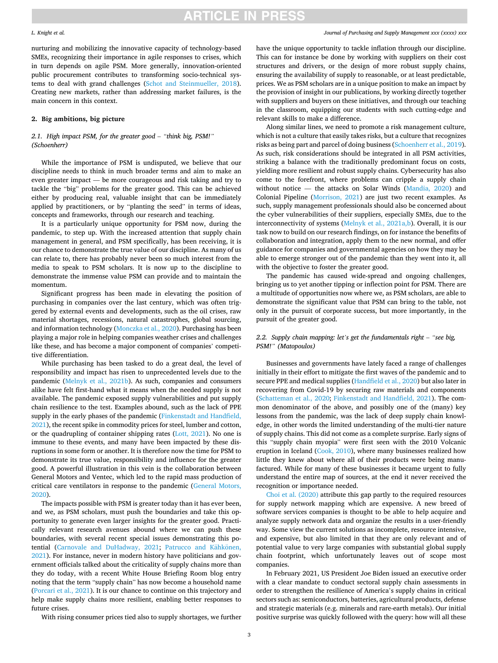#### *L. Knight et al.*

nurturing and mobilizing the innovative capacity of technology-based SMEs, recognizing their importance in agile responses to crises, which in turn depends on agile PSM. More generally, innovation-oriented public procurement contributes to transforming socio-technical systems to deal with grand challenges ([Schot and Steinmueller, 2018](#page-11-0)). Creating new markets, rather than addressing market failures, is the main concern in this context.

## **2. Big ambitions, big picture**

## *2.1. High impact PSM, for the greater good* – *"think big, PSM!" (Schoenherr)*

While the importance of PSM is undisputed, we believe that our discipline needs to think in much broader terms and aim to make an even greater impact — be more courageous and risk taking and try to tackle the "big" problems for the greater good. This can be achieved either by producing real, valuable insight that can be immediately applied by practitioners, or by "planting the seed" in terms of ideas, concepts and frameworks, through our research and teaching.

It is a particularly unique opportunity for PSM now, during the pandemic, to step up. With the increased attention that supply chain management in general, and PSM specifically, has been receiving, it is our chance to demonstrate the true value of our discipline. As many of us can relate to, there has probably never been so much interest from the media to speak to PSM scholars. It is now up to the discipline to demonstrate the immense value PSM can provide and to maintain the momentum.

Significant progress has been made in elevating the position of purchasing in companies over the last century, which was often triggered by external events and developments, such as the oil crises, raw material shortages, recessions, natural catastrophes, global sourcing, and information technology [\(Monczka et al., 2020](#page-11-0)). Purchasing has been playing a major role in helping companies weather crises and challenges like these, and has become a major component of companies' competitive differentiation.

While purchasing has been tasked to do a great deal, the level of responsibility and impact has risen to unprecedented levels due to the pandemic [\(Melnyk et al., 2021b](#page-10-0)). As such, companies and consumers alike have felt first-hand what it means when the needed supply is not available. The pandemic exposed supply vulnerabilities and put supply chain resilience to the test. Examples abound, such as the lack of PPE supply in the early phases of the pandemic [\(Finkenstadt and Handfield,](#page-10-0)  [2021\)](#page-10-0), the recent spike in commodity prices for steel, lumber and cotton, or the quadrupling of container shipping rates ([Lott, 2021\)](#page-10-0). No one is immune to these events, and many have been impacted by these disruptions in some form or another. It is therefore now the time for PSM to demonstrate its true value, responsibility and influence for the greater good. A powerful illustration in this vein is the collaboration between General Motors and Ventec, which led to the rapid mass production of critical care ventilators in response to the pandemic [\(General Motors,](#page-10-0)  [2020\)](#page-10-0).

The impacts possible with PSM is greater today than it has ever been, and we, as PSM scholars, must push the boundaries and take this opportunity to generate even larger insights for the greater good. Practically relevant research avenues abound where we can push these boundaries, with several recent special issues demonstrating this po-tential [\(Carnovale and DuHadway, 2021;](#page-9-0) Patrucco and Kähkönen, [2021\)](#page-11-0). For instance, never in modern history have politicians and government officials talked about the criticality of supply chains more than they do today, with a recent White House Briefing Room blog entry noting that the term "supply chain" has now become a household name ([Porcari et al., 2021\)](#page-11-0). It is our chance to continue on this trajectory and help make supply chains more resilient, enabling better responses to future crises.

With rising consumer prices tied also to supply shortages, we further

## *Journal of Purchasing and Supply Management xxx (xxxx) xxx*

have the unique opportunity to tackle inflation through our discipline. This can for instance be done by working with suppliers on their cost structures and drivers, or the design of more robust supply chains, ensuring the availability of supply to reasonable, or at least predictable, prices. We as PSM scholars are in a unique position to make an impact by the provision of insight in our publications, by working directly together with suppliers and buyers on these initiatives, and through our teaching in the classroom, equipping our students with such cutting-edge and relevant skills to make a difference.

Along similar lines, we need to promote a risk management culture, which is not a culture that easily takes risks, but a culture that recognizes risks as being part and parcel of doing business [\(Schoenherr et al., 2019](#page-11-0)). As such, risk considerations should be integrated in all PSM activities, striking a balance with the traditionally predominant focus on costs, yielding more resilient and robust supply chains. Cybersecurity has also come to the forefront, where problems can cripple a supply chain without notice — the attacks on Solar Winds [\(Mandia, 2020](#page-10-0)) and Colonial Pipeline ([Morrison, 2021\)](#page-11-0) are just two recent examples. As such, supply management professionals should also be concerned about the cyber vulnerabilities of their suppliers, especially SMEs, due to the interconnectivity of systems [\(Melnyk et al., 2021a,b](#page-10-0)). Overall, it is our task now to build on our research findings, on for instance the benefits of collaboration and integration, apply them to the new normal, and offer guidance for companies and governmental agencies on how they may be able to emerge stronger out of the pandemic than they went into it, all with the objective to foster the greater good.

The pandemic has caused wide-spread and ongoing challenges, bringing us to yet another tipping or inflection point for PSM. There are a multitude of opportunities now where we, as PSM scholars, are able to demonstrate the significant value that PSM can bring to the table, not only in the pursuit of corporate success, but more importantly, in the pursuit of the greater good.

## *2.2. Supply chain mapping: let's get the fundamentals right* – *"see big, PSM!" (Matopoulos)*

Businesses and governments have lately faced a range of challenges initially in their effort to mitigate the first waves of the pandemic and to secure PPE and medical supplies ([Handfield et al., 2020](#page-10-0)) but also later in recovering from Covid-19 by securing raw materials and components ([Schatteman et al., 2020](#page-11-0); [Finkenstadt and Handfield, 2021](#page-10-0)). The common denominator of the above, and possibly one of the (many) key lessons from the pandemic, was the lack of deep supply chain knowledge, in other words the limited understanding of the multi-tier nature of supply chains. This did not come as a complete surprise. Early signs of this "supply chain myopia" were first seen with the 2010 Volcanic eruption in Iceland [\(Cook, 2010\)](#page-10-0), where many businesses realized how little they knew about where all of their products were being manufactured. While for many of these businesses it became urgent to fully understand the entire map of sources, at the end it never received the recognition or importance needed.

[Choi et al. \(2020\)](#page-9-0) attribute this gap partly to the required resources for supply network mapping which are expensive. A new breed of software services companies is thought to be able to help acquire and analyze supply network data and organize the results in a user-friendly way. Some view the current solutions as incomplete, resource intensive, and expensive, but also limited in that they are only relevant and of potential value to very large companies with substantial global supply chain footprint, which unfortunately leaves out of scope most companies.

In February 2021, US President Joe Biden issued an executive order with a clear mandate to conduct sectoral supply chain assessments in order to strengthen the resilience of America's supply chains in critical sectors such as: semiconductors, batteries, agricultural products, defense and strategic materials (e.g. minerals and rare-earth metals). Our initial positive surprise was quickly followed with the query: how will all these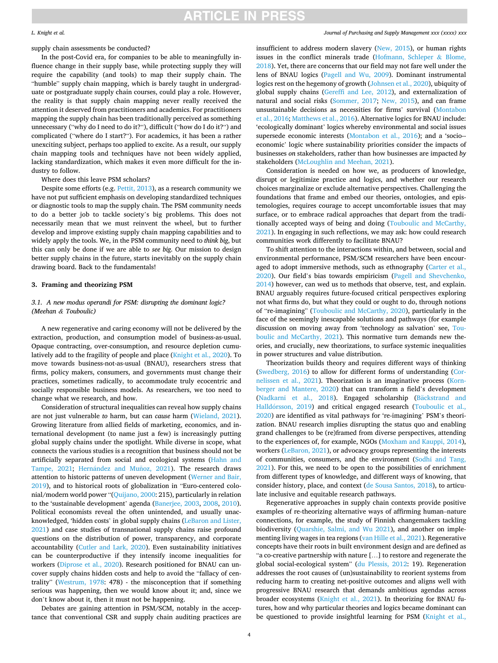#### *L. Knight et al.*

supply chain assessments be conducted?

In the post-Covid era, for companies to be able to meaningfully influence change in their supply base, while protecting supply they will require the capability (and tools) to map their supply chain. The "humble" supply chain mapping, which is barely taught in undergraduate or postgraduate supply chain courses, could play a role. However, the reality is that supply chain mapping never really received the attention it deserved from practitioners and academics. For practitioners mapping the supply chain has been traditionally perceived as something unnecessary ("why do I need to do it?"), difficult ("how do I do it?") and complicated ("where do I start?"). For academics, it has been a rather unexciting subject, perhaps too applied to excite. As a result, our supply chain mapping tools and techniques have not been widely applied, lacking standardization, which makes it even more difficult for the industry to follow.

Where does this leave PSM scholars?

Despite some efforts (e.g. [Pettit, 2013\)](#page-11-0), as a research community we have not put sufficient emphasis on developing standardized techniques or diagnostic tools to map the supply chain. The PSM community needs to do a better job to tackle society's big problems. This does not necessarily mean that we must reinvent the wheel, but to further develop and improve existing supply chain mapping capabilities and to widely apply the tools. We, in the PSM community need to *think big*, but this can only be done if we are able to *see big*. Our mission to design better supply chains in the future, starts inevitably on the supply chain drawing board. Back to the fundamentals!

### **3. Framing and theorizing PSM**

## *3.1. A new modus operandi for PSM: disrupting the dominant logic? (Meehan & Touboulic)*

A new regenerative and caring economy will not be delivered by the extraction, production, and consumption model of business-as-usual. Opaque contracting, over-consumption, and resource depletion cumulatively add to the fragility of people and place [\(Knight et al., 2020](#page-10-0)). To move towards business-not-as-usual (BNAU), researchers stress that firms, policy makers, consumers, and governments must change their practices, sometimes radically, to accommodate truly ecocentric and socially responsible business models. As researchers, we too need to change what we research, and how.

Consideration of structural inequalities can reveal how supply chains are not just vulnerable *to* harm, but can *cause* harm [\(Wieland, 2021](#page-11-0)). Growing literature from allied fields of marketing, economics, and international development (to name just a few) is increasingly putting global supply chains under the spotlight. While diverse in scope, what connects the various studies is a recognition that business should not be artificially separated from social and ecological systems [\(Hahn and](#page-10-0)  [Tampe, 2021;](#page-10-0) Hernández and Muñoz, 2021). The research draws attention to historic patterns of uneven development [\(Werner and Bair,](#page-11-0)  [2019\)](#page-11-0), and to historical roots of globalization in "Euro-centered colonial/modern world power "([Quijano, 2000:](#page-11-0) 215), particularly in relation to the 'sustainable development' agenda [\(Banerjee, 2003](#page-9-0), [2008, 2010](#page-9-0)). Political economists reveal the often unintended, and usually unacknowledged, 'hidden costs' in global supply chains ([LeBaron and Lister,](#page-10-0)  [2021\)](#page-10-0) and case studies of transnational supply chains raise profound questions on the distribution of power, transparency, and corporate accountability [\(Cutler and Lark, 2020](#page-10-0)). Even sustainability initiatives can be counterproductive if they intensify income inequalities for workers ([Diprose et al., 2020](#page-10-0)). Research positioned for BNAU can uncover supply chains hidden costs and help to avoid the "fallacy of centrality" [\(Westrum, 1978:](#page-11-0) 478) - the misconception that if something serious was happening, then we would know about it; and, since we don't know about it, then it must not be happening.

Debates are gaining attention in PSM/SCM, notably in the acceptance that conventional CSR and supply chain auditing practices are *Journal of Purchasing and Supply Management xxx (xxxx) xxx*

insufficient to address modern slavery [\(New, 2015\)](#page-11-0), or human rights issues in the conflict minerals trade ([Hofmann, Schleper](#page-10-0) & Blome, [2018\)](#page-10-0). Yet, there are concerns that our field may not fare well under the lens of BNAU logics [\(Pagell and Wu, 2009](#page-11-0)). Dominant instrumental logics rest on the hegemony of growth [\(Johnsen et al., 2020\)](#page-10-0), ubiquity of global supply chains [\(Gereffi and Lee, 2012\)](#page-10-0), and externalization of natural and social risks [\(Sommer, 2017;](#page-11-0) [New, 2015](#page-11-0)), and can frame unsustainable decisions as necessities for firms' survival ([Montabon](#page-11-0)  [et al., 2016](#page-11-0); [Matthews et al., 2016](#page-10-0)). Alternative logics for BNAU include: 'ecologically dominant' logics whereby environmental and social issues supersede economic interests [\(Montabon et al., 2016\)](#page-11-0); and a 'socio-economic' logic where sustainability priorities consider the impacts of businesses *on* stakeholders, rather than how businesses are impacted *by*  stakeholders [\(McLoughlin and Meehan, 2021](#page-10-0)).

Consideration is needed on how we, as producers of knowledge, disrupt or legitimize practice and logics, and whether our research choices marginalize or exclude alternative perspectives. Challenging the foundations that frame and embed our theories, ontologies, and epistemologies, requires courage to accept uncomfortable issues that may surface, or to embrace radical approaches that depart from the traditionally accepted ways of being and doing [\(Touboulic and McCarthy,](#page-11-0)  [2021\)](#page-11-0). In engaging in such reflections, we may ask: how could research communities work differently to facilitate BNAU?

To shift attention to the interactions within, and between, social and environmental performance, PSM/SCM researchers have been encouraged to adopt immersive methods, such as ethnography ([Carter et al.,](#page-9-0)  [2020\)](#page-9-0). Our field's bias towards empiricism [\(Pagell and Shevchenko,](#page-11-0)  [2014\)](#page-11-0) however, can wed us to methods that observe, test, and explain. BNAU arguably requires future-focused critical perspectives exploring not what firms do, but what they could or ought to do, through notions of "re-imagining" [\(Touboulic and McCarthy, 2020](#page-11-0)), particularly in the face of the seemingly inescapable solutions and pathways (for example discussion on moving away from 'technology as salvation' see, [Tou](#page-11-0)[boulic and McCarthy, 2021](#page-11-0)). This normative turn demands new theories, and crucially, new theorizations, to surface systemic inequalities in power structures and value distribution.

Theorization builds theory and requires different ways of thinking ([Swedberg, 2016](#page-11-0)) to allow for different forms of understanding ([Cor](#page-10-0)[nelissen et al., 2021](#page-10-0)). Theorization is an imaginative process [\(Korn](#page-10-0)[berger and Mantere, 2020](#page-10-0)) that can transform a field's development ([Nadkarni et al., 2018](#page-11-0)). Engaged scholarship (Bäckstrand and Halldórsson, 2019) and critical engaged research (Touboulic et al., [2020\)](#page-11-0) are identified as vital pathways for 're-imagining' PSM's theorization. BNAU research implies disrupting the status quo and enabling grand challenges to be (re)framed from diverse perspectives, attending to the experiences of, for example, NGOs [\(Moxham and Kauppi, 2014](#page-11-0)), workers ([LeBaron, 2021](#page-10-0)), or advocacy groups representing the interests of communities, consumers, and the environment ([Sodhi and Tang,](#page-11-0)  [2021\)](#page-11-0). For this, we need to be open to the possibilities of enrichment from different types of knowledge, and different ways of knowing, that consider history, place, and context [\(de Sousa Santos, 2018](#page-10-0)), to articulate inclusive and equitable research pathways.

Regenerative approaches in supply chain contexts provide positive examples of re-theorizing alternative ways of affirming human–nature connections, for example, the study of Finnish changemakers tackling biodiversity ([Quarshie, Salmi, and Wu 2021](#page-11-0)), and another on implementing living wages in tea regions [\(van Hille et al., 2021\)](#page-11-0). Regenerative concepts have their roots in built environment design and are defined as "a co-creative partnership with nature […] to restore and regenerate the global social-ecological system" ([du Plessis, 2012](#page-10-0): 19). Regeneration addresses the root causes of (un)sustainability to reorient systems from reducing harm to creating net-positive outcomes and aligns well with progressive BNAU research that demands ambitious agendas across broader ecosystems ([Knight et al., 2021\)](#page-10-0). In theorizing for BNAU futures, how and why particular theories and logics became dominant can be questioned to provide insightful learning for PSM [\(Knight et al.,](#page-10-0)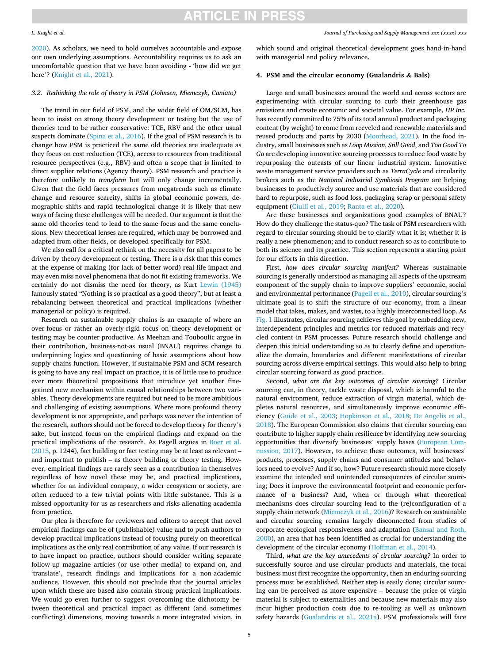#### *L. Knight et al.*

[2020\)](#page-10-0). As scholars, we need to hold ourselves accountable and expose our own underlying assumptions. Accountability requires us to ask an uncomfortable question that we have been avoiding - 'how did we get here'? [\(Knight et al., 2021](#page-10-0)).

## *3.2. Rethinking the role of theory in PSM (Johnsen, Miemczyk, Caniato)*

The trend in our field of PSM, and the wider field of OM/SCM, has been to insist on strong theory development or testing but the use of theories tend to be rather conservative: TCE, RBV and the other usual suspects dominate [\(Spina et al., 2016](#page-11-0)). If the goal of PSM research is to change how PSM is practiced the same old theories are inadequate as they focus on cost reduction (TCE), access to resources from traditional resource perspectives (e.g., RBV) and often a scope that is limited to direct supplier relations (Agency theory). PSM research and practice is therefore unlikely to *transform* but will only change incrementally. Given that the field faces pressures from megatrends such as climate change and resource scarcity, shifts in global economic powers, demographic shifts and rapid technological change it is likely that new ways of facing these challenges will be needed. Our argument is that the same old theories tend to lead to the same focus and the same conclusions. New theoretical lenses are required, which may be borrowed and adapted from other fields, or developed specifically for PSM.

We also call for a critical rethink on the necessity for all papers to be driven by theory development or testing. There is a risk that this comes at the expense of making (for lack of better word) real-life impact and may even miss novel phenomena that do not fit existing frameworks. We certainly do not dismiss the need for theory, as Kurt [Lewin \(1945\)](#page-10-0)  famously stated "Nothing is so practical as a good theory", but at least a rebalancing between theoretical and practical implications (whether managerial or policy) is required.

Research on sustainable supply chains is an example of where an over-focus or rather an overly-rigid focus on theory development or testing may be counter-productive. As Meehan and Touboulic argue in their contribution, business-not-as usual (BNAU) requires change to underpinning logics and questioning of basic assumptions about how supply chains function. However, if sustainable PSM and SCM research is going to have any real impact on practice, it is of little use to produce ever more theoretical propositions that introduce yet another finegrained new mechanism within causal relationships between two variables. Theory developments are required but need to be more ambitious and challenging of existing assumptions. Where more profound theory development is not appropriate, and perhaps was never the intention of the research, authors should not be forced to develop theory for theory's sake, but instead focus on the empirical findings and expand on the practical implications of the research. As Pagell argues in [Boer et al.](#page-9-0)  [\(2015,](#page-9-0) p. 1244), fact building or fact testing may be at least as relevant – and important to publish – as theory building or theory testing. However, empirical findings are rarely seen as a contribution in themselves regardless of how novel these may be, and practical implications, whether for an individual company, a wider ecosystem or society, are often reduced to a few trivial points with little substance. This is a missed opportunity for us as researchers and risks alienating academia from practice.

Our plea is therefore for reviewers and editors to accept that novel empirical findings can be of (publishable) value and to push authors to develop practical implications instead of focusing purely on theoretical implications as the only real contribution of any value. If our research is to have impact on practice, authors should consider writing separate follow-up magazine articles (or use other media) to expand on, and 'translate', research findings and implications for a non-academic audience. However, this should not preclude that the journal articles upon which these are based also contain strong practical implications. We would go even further to suggest overcoming the dichotomy between theoretical and practical impact as different (and sometimes conflicting) dimensions, moving towards a more integrated vision, in

#### *Journal of Purchasing and Supply Management xxx (xxxx) xxx*

which sound and original theoretical development goes hand-in-hand with managerial and policy relevance.

### **4. PSM and the circular economy (Gualandris & Bals)**

Large and small businesses around the world and across sectors are experimenting with circular sourcing to curb their greenhouse gas emissions and create economic and societal value. For example, *HP Inc.*  has recently committed to 75% of its total annual product and packaging content (by weight) to come from recycled and renewable materials and reused products and parts by 2030 [\(Moorhead, 2021](#page-11-0)). In the food industry, small businesses such as *Loop Mission*, *Still Good*, and *Too Good To Go* are developing innovative sourcing processes to reduce food waste by repurposing the outcasts of our linear industrial system. Innovative waste management service providers such as *TerraCycle* and circularity brokers such as the *National Industrial Symbiosis Program* are helping businesses to productively source and use materials that are considered hard to repurpose, such as food loss, packaging scrap or personal safety equipment ([Ciulli et al., 2019](#page-10-0); [Ranta et al., 2020](#page-11-0)).

Are these businesses and organizations good examples of BNAU? How do they challenge the status-quo? The task of PSM researchers with regard to circular sourcing should be to clarify what it is; whether it is really a new phenomenon; and to conduct research so as to contribute to both its science and its practice. This section represents a starting point for our efforts in this direction.

First, *how does circular sourcing manifest?* Whereas sustainable sourcing is generally understood as managing all aspects of the upstream component of the supply chain to improve suppliers' economic, social and environmental performance ([Pagell et al., 2010](#page-11-0)), circular sourcing's ultimate goal is to shift the structure of our economy, from a linear model that takes, makes, and wastes, to a highly interconnected loop. As [Fig. 1](#page-5-0) illustrates, circular sourcing achieves this goal by embedding new, interdependent principles and metrics for reduced materials and recycled content in PSM processes. Future research should challenge and deepen this initial understanding so as to clearly define and operationalize the domain, boundaries and different manifestations of circular sourcing across diverse empirical settings. This would also help to bring circular sourcing forward as good practice.

Second, *what are the key outcomes of circular sourcing?* Circular sourcing can, in theory, tackle waste disposal, which is harmful to the natural environment, reduce extraction of virgin material, which depletes natural resources, and simultaneously improve economic efficiency [\(Guide et al., 2003](#page-10-0); [Hopkinson et al., 2018;](#page-10-0) [De Angelis et al.,](#page-10-0)  [2018\)](#page-10-0). The European Commission also claims that circular sourcing can contribute to higher supply chain resilience by identifying new sourcing opportunities that diversify businesses' supply bases [\(European Com](#page-10-0)[mission, 2017\)](#page-10-0). However, to achieve these outcomes, will businesses' products, processes, supply chains and consumer attitudes and behaviors need to evolve? And if so, how? Future research should more closely examine the intended and unintended consequences of circular sourcing; Does it improve the environmental footprint and economic performance of a business? And, when or through what theoretical mechanisms does circular sourcing lead to the (re)configuration of a supply chain network [\(Miemczyk et al., 2016\)](#page-10-0)? Research on sustainable and circular sourcing remains largely disconnected from studies of corporate ecological responsiveness and adaptation ([Bansal and Roth,](#page-9-0)  [2000\)](#page-9-0), an area that has been identified as crucial for understanding the development of the circular economy [\(Hoffman et al., 2014\)](#page-10-0).

Third, *what are the key antecedents of circular sourcing?* In order to successfully source and use circular products and materials, the focal business must first recognize the opportunity, then an enduring sourcing process must be established. Neither step is easily done; circular sourcing can be perceived as more expensive – because the price of virgin material is subject to externalities and because new materials may also incur higher production costs due to re-tooling as well as unknown safety hazards ([Gualandris et al., 2021a\)](#page-10-0). PSM professionals will face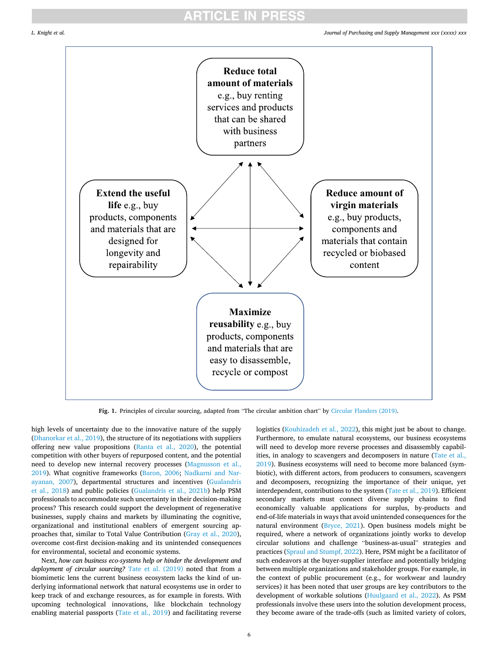<span id="page-5-0"></span>

**Fig. 1.** Principles of circular sourcing, adapted from "The circular ambition chart" by [Circular Flanders \(2019\).](#page-10-0)

high levels of uncertainty due to the innovative nature of the supply ([Dhanorkar et al., 2019\)](#page-10-0), the structure of its negotiations with suppliers offering new value propositions ([Ranta et al., 2020](#page-11-0)), the potential competition with other buyers of repurposed content, and the potential need to develop new internal recovery processes [\(Magnusson et al.,](#page-10-0)  [2019\)](#page-10-0). What cognitive frameworks [\(Baron, 2006;](#page-9-0) [Nadkarni and Nar](#page-11-0)[ayanan, 2007\)](#page-11-0), departmental structures and incentives [\(Gualandris](#page-10-0)  [et al., 2018\)](#page-10-0) and public policies [\(Gualandris et al., 2021b](#page-10-0)) help PSM professionals to accommodate such uncertainty in their decision-making process? This research could support the development of regenerative businesses, supply chains and markets by illuminating the cognitive, organizational and institutional enablers of emergent sourcing approaches that, similar to Total Value Contribution ([Gray et al., 2020](#page-10-0)), overcome cost-first decision-making and its unintended consequences for environmental, societal and economic systems.

Next, *how can business eco-systems help or hinder the development and deployment of circular sourcing?* [Tate et al. \(2019\)](#page-11-0) noted that from a biomimetic lens the current business ecosystem lacks the kind of underlying informational network that natural ecosystems use in order to keep track of and exchange resources, as for example in forests. With upcoming technological innovations, like blockchain technology enabling material passports [\(Tate et al., 2019\)](#page-11-0) and facilitating reverse logistics ([Kouhizadeh et al., 2022](#page-10-0)), this might just be about to change. Furthermore, to emulate natural ecosystems, our business ecosystems will need to develop more reverse processes and disassembly capabilities, in analogy to scavengers and decomposers in nature [\(Tate et al.,](#page-11-0)  [2019\)](#page-11-0). Business ecosystems will need to become more balanced (symbiotic), with different actors, from producers to consumers, scavengers and decomposers, recognizing the importance of their unique, yet interdependent, contributions to the system [\(Tate et al., 2019\)](#page-11-0). Efficient secondary markets must connect diverse supply chains to find economically valuable applications for surplus, by-products and end-of-life materials in ways that avoid unintended consequences for the natural environment [\(Bryce, 2021](#page-9-0)). Open business models might be required, where a network of organizations jointly works to develop circular solutions and challenge "business-as-usual" strategies and practices ([Spraul and Stumpf, 2022\)](#page-11-0). Here, PSM might be a facilitator of such endeavors at the buyer-supplier interface and potentially bridging between multiple organizations and stakeholder groups. For example, in the context of public procurement (e.g., for workwear and laundry services) it has been noted that user groups are key contributors to the development of workable solutions [\(Huulgaard et al., 2022\)](#page-10-0). As PSM professionals involve these users into the solution development process, they become aware of the trade-offs (such as limited variety of colors,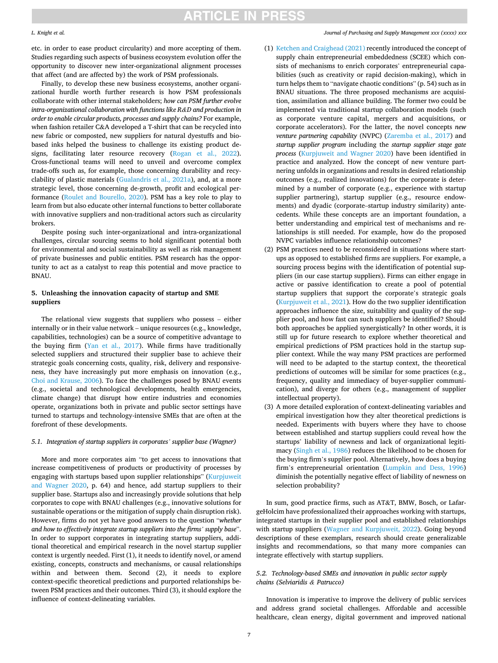#### *L. Knight et al.*

etc. in order to ease product circularity) and more accepting of them. Studies regarding such aspects of business ecosystem evolution offer the opportunity to discover new inter-organizational alignment processes that affect (and are affected by) the work of PSM professionals.

Finally, to develop these new business ecosystems, another organizational hurdle worth further research is how PSM professionals collaborate with other internal stakeholders; *how can PSM further evolve intra-organizational collaboration with functions like R&D and production in order to enable circular products, processes and supply chains?* For example, when fashion retailer C&A developed a T-shirt that can be recycled into new fabric or composted, new suppliers for natural dyestuffs and biobased inks helped the business to challenge its existing product designs, facilitating later resource recovery ([Rogan et al., 2022](#page-11-0)). Cross-functional teams will need to unveil and overcome complex trade-offs such as, for example, those concerning durability and recyclability of plastic materials ([Gualandris et al., 2021a](#page-10-0)), and, at a more strategic level, those concerning de-growth, profit and ecological performance ([Roulet and Bourello, 2020\)](#page-11-0). PSM has a key role to play to learn from but also educate other internal functions to better collaborate with innovative suppliers and non-traditional actors such as circularity brokers.

Despite posing such inter-organizational and intra-organizational challenges, circular sourcing seems to hold significant potential both for environmental and social sustainability as well as risk management of private businesses and public entities. PSM research has the opportunity to act as a catalyst to reap this potential and move practice to BNAU.

## **5. Unleashing the innovation capacity of startup and SME suppliers**

The relational view suggests that suppliers who possess – either internally or in their value network – unique resources (e.g., knowledge, capabilities, technologies) can be a source of competitive advantage to the buying firm [\(Yan et al., 2017\)](#page-11-0). While firms have traditionally selected suppliers and structured their supplier base to achieve their strategic goals concerning costs, quality, risk, delivery and responsiveness, they have increasingly put more emphasis on innovation (e.g., [Choi and Krause, 2006\)](#page-9-0). To face the challenges posed by BNAU events (e.g., societal and technological developments, health emergencies, climate change) that disrupt how entire industries and economies operate, organizations both in private and public sector settings have turned to startups and technology-intensive SMEs that are often at the forefront of these developments.

### *5.1. Integration of startup suppliers in corporates' supplier base (Wagner)*

More and more corporates aim "to get access to innovations that increase competitiveness of products or productivity of processes by engaging with startups based upon supplier relationships" [\(Kurpjuweit](#page-10-0)  [and Wagner 2020,](#page-10-0) p. 64) and hence, add startup suppliers to their supplier base. Startups also and increasingly provide solutions that help corporates to cope with BNAU challenges (e.g., innovative solutions for sustainable operations or the mitigation of supply chain disruption risk). However, firms do not yet have good answers to the question "*whether and how to effectively integrate startup suppliers into the firms' supply base*". In order to support corporates in integrating startup suppliers, additional theoretical and empirical research in the novel startup supplier context is urgently needed. First (1), it needs to identify novel, or amend existing, concepts, constructs and mechanisms, or causal relationships within and between them. Second (2), it needs to explore context-specific theoretical predictions and purported relationships between PSM practices and their outcomes. Third (3), it should explore the influence of context-delineating variables.

*Journal of Purchasing and Supply Management xxx (xxxx) xxx*

- (1) [Ketchen and Craighead \(2021\)](#page-10-0) recently introduced the concept of supply chain entrepreneurial embeddedness (SCEE) which consists of mechanisms to enrich corporates' entrepreneurial capabilities (such as creativity or rapid decision-making), which in turn helps them to "navigate chaotic conditions" (p. 54) such as in BNAU situations. The three proposed mechanisms are acquisition, assimilation and alliance building. The former two could be implemented via traditional startup collaboration models (such as corporate venture capital, mergers and acquisitions, or corporate accelerators). For the latter, the novel concepts *new venture partnering capability* (NVPC) [\(Zaremba et al., 2017\)](#page-11-0) and *startup supplier program* including the *startup supplier stage gate process* [\(Kurpjuweit and Wagner 2020\)](#page-10-0) have been identified in practice and analyzed. How the concept of new venture partnering unfolds in organizations and results in desired relationship outcomes (e.g., realized innovations) for the corporate is determined by a number of corporate (e.g., experience with startup supplier partnering), startup supplier (e.g., resource endowments) and dyadic (corporate–startup industry similarity) antecedents. While these concepts are an important foundation, a better understanding and empirical test of mechanisms and relationships is still needed. For example, how do the proposed NVPC variables influence relationship outcomes?
- (2) PSM practices need to be reconsidered in situations where startups as opposed to established firms are suppliers. For example, a sourcing process begins with the identification of potential suppliers (in our case startup suppliers). Firms can either engage in active or passive identification to create a pool of potential startup suppliers that support the corporate's strategic goals [\(Kurpjuweit et al., 2021](#page-10-0)). How do the two supplier identification approaches influence the size, suitability and quality of the supplier pool, and how fast can such suppliers be identified? Should both approaches be applied synergistically? In other words, it is still up for future research to explore whether theoretical and empirical predictions of PSM practices hold in the startup supplier context. While the way many PSM practices are performed will need to be adapted to the startup context, the theoretical predictions of outcomes will be similar for some practices (e.g., frequency, quality and immediacy of buyer-supplier communication), and diverge for others (e.g., management of supplier intellectual property).
- (3) A more detailed exploration of context-delineating variables and empirical investigation how they alter theoretical predictions is needed. Experiments with buyers where they have to choose between established and startup suppliers could reveal how the startups' liability of newness and lack of organizational legitimacy [\(Singh et al., 1986](#page-11-0)) reduces the likelihood to be chosen for the buying firm's supplier pool. Alternatively, how does a buying firm's entrepreneurial orientation [\(Lumpkin and Dess, 1996\)](#page-10-0) diminish the potentially negative effect of liability of newness on selection probability?

In sum, good practice firms, such as AT&T, BMW, Bosch, or LafargeHolcim have professionalized their approaches working with startups, integrated startups in their supplier pool and established relationships with startup suppliers ([Wagner and Kurpjuweit, 2022\)](#page-11-0). Going beyond descriptions of these exemplars, research should create generalizable insights and recommendations, so that many more companies can integrate effectively with startup suppliers.

## *5.2. Technology-based SMEs and innovation in public sector supply chains (Selviaridis & Patrucco)*

Innovation is imperative to improve the delivery of public services and address grand societal challenges. Affordable and accessible healthcare, clean energy, digital government and improved national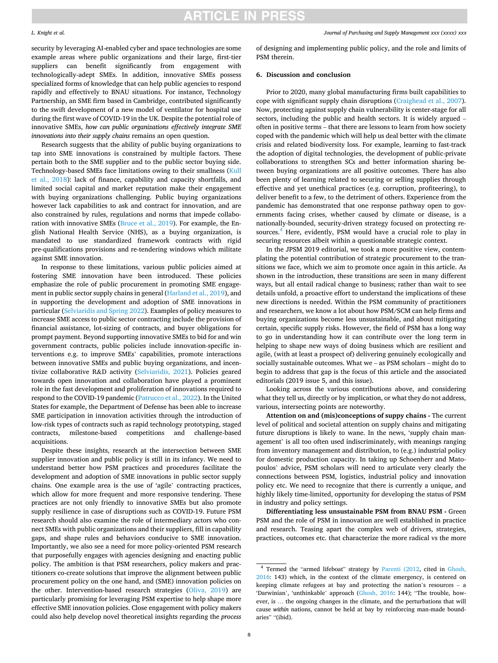#### *L. Knight et al.*

*Journal of Purchasing and Supply Management xxx (xxxx) xxx*

security by leveraging AI-enabled cyber and space technologies are some example areas where public organizations and their large, first-tier suppliers can benefit significantly from engagement with technologically-adept SMEs. In addition, innovative SMEs possess specialized forms of knowledge that can help public agencies to respond rapidly and effectively to BNAU situations. For instance, Technology Partnership, an SME firm based in Cambridge, contributed significantly to the swift development of a new model of ventilator for hospital use during the first wave of COVID-19 in the UK. Despite the potential role of innovative SMEs, *how can public organizations effectively integrate SME innovations into their supply chains* remains an open question.

Research suggests that the ability of public buying organizations to tap into SME innovations is constrained by multiple factors. These pertain both to the SME supplier and to the public sector buying side. Technology-based SMEs face limitations owing to their smallness [\(Kull](#page-10-0)  [et al., 2018](#page-10-0)): lack of finance, capability and capacity shortfalls, and limited social capital and market reputation make their engagement with buying organizations challenging. Public buying organizations however lack capabilities to ask and contract for innovation, and are also constrained by rules, regulations and norms that impede collaboration with innovative SMEs ([Bruce et al., 2019](#page-9-0)). For example, the English National Health Service (NHS), as a buying organization, is mandated to use standardized framework contracts with rigid pre-qualifications provisions and re-tendering windows which militate against SME innovation.

In response to these limitations, various public policies aimed at fostering SME innovation have been introduced. These policies emphasize the role of public procurement in promoting SME engagement in public sector supply chains in general ([Harland et al., 2019\)](#page-10-0), and in supporting the development and adoption of SME innovations in particular ([Selviaridis and Spring 2022\)](#page-11-0). Examples of policy measures to increase SME access to public sector contracting include the provision of financial assistance, lot-sizing of contracts, and buyer obligations for prompt payment. Beyond supporting innovative SMEs to bid for and win government contracts, public policies include innovation-specific interventions e.g. to improve SMEs' capabilities, promote interactions between innovative SMEs and public buying organizations, and incentivize collaborative R&D activity ([Selviaridis, 2021](#page-11-0)). Policies geared towards open innovation and collaboration have played a prominent role in the fast development and proliferation of innovations required to respond to the COVID-19 pandemic [\(Patrucco et al., 2022](#page-11-0)). In the United States for example, the Department of Defense has been able to increase SME participation in innovation activities through the introduction of low-risk types of contracts such as rapid technology prototyping, staged contracts, milestone-based competitions and challenge-based acquisitions.

Despite these insights, research at the intersection between SME supplier innovation and public policy is still in its infancy. We need to understand better how PSM practices and procedures facilitate the development and adoption of SME innovations in public sector supply chains. One example area is the use of 'agile' contracting practices, which allow for more frequent and more responsive tendering. These practices are not only friendly to innovative SMEs but also promote supply resilience in case of disruptions such as COVID-19. Future PSM research should also examine the role of intermediary actors who connect SMEs with public organizations and their suppliers, fill in capability gaps, and shape rules and behaviors conducive to SME innovation. Importantly, we also see a need for more policy-oriented PSM research that purposefully engages with agencies designing and enacting public policy. The ambition is that PSM researchers, policy makers and practitioners co-create solutions that improve the alignment between public procurement policy on the one hand, and (SME) innovation policies on the other. Intervention-based research strategies ([Oliva, 2019\)](#page-11-0) are particularly promising for leveraging PSM expertise to help shape more effective SME innovation policies. Close engagement with policy makers could also help develop novel theoretical insights regarding the *process* 

of designing and implementing public policy, and the role and limits of PSM therein.

### **6. Discussion and conclusion**

Prior to 2020, many global manufacturing firms built capabilities to cope with significant supply chain disruptions [\(Craighead et al., 2007](#page-10-0)). Now, protecting against supply chain vulnerability is center-stage for all sectors, including the public and health sectors. It is widely argued – often in positive terms – that there are lessons to learn from how society coped with the pandemic which will help us deal better with the climate crisis and related biodiversity loss. For example, learning to fast-track the adoption of digital technologies, the development of public-private collaborations to strengthen SCs and better information sharing between buying organizations are all positive outcomes. There has also been plenty of learning related to securing or selling supplies through effective and yet unethical practices (e.g. corruption, profiteering), to deliver benefit to a few, to the detriment of others. Experience from the pandemic has demonstrated that one response pathway open to governments facing crises, whether caused by climate or disease, is a nationally-bounded, security-driven strategy focused on protecting resources.<sup>4</sup> Here, evidently, PSM would have a crucial role to play in securing resources albeit within a questionable strategic context.

In the JPSM 2019 editorial, we took a more positive view, contemplating the potential contribution of strategic procurement to the transitions we face, which we aim to promote once again in this article. As shown in the introduction, these transitions are seen in many different ways, but all entail radical change to business; rather than wait to see details unfold, a proactive effort to understand the implications of these new directions is needed. Within the PSM community of practitioners and researchers, we know a lot about how PSM/SCM can help firms and buying organizations become less unsustainable, and about mitigating certain, specific supply risks. However, the field of PSM has a long way to go in understanding how it can contribute over the long term in helping to shape new ways of doing business which are resilient and agile, (with at least a prospect of) delivering genuinely ecologically and socially sustainable outcomes. What we – as PSM scholars – might do to begin to address that gap is the focus of this article and the associated editorials (2019 issue 5, and this issue).

Looking across the various contributions above, and considering what they tell us, directly or by implication, or what they do not address, various, intersecting points are noteworthy.

**Attention on and (mis)conceptions of suppy chains -** The current level of political and societal attention on supply chains and mitigating future disruptions is likely to wane. In the news, 'supply chain management' is all too often used indiscriminately, with meanings ranging from inventory management and distribution, to (e.g.) industrial policy for domestic production capacity. In taking up Schoenherr and Matopoulos' advice, PSM scholars will need to articulate very clearly the connections between PSM, logistics, industrial policy and innovation policy etc. We need to recognize that there is currently a unique, and highly likely time-limited, opportunity for developing the status of PSM in industry and policy settings.

**Differentiating less unsustainable PSM from BNAU PSM -** Green PSM and the role of PSM in innovation are well established in practice and research. Teasing apart the complex web of drivers, strategies, practices, outcomes etc. that characterize the more radical vs the more

<sup>4</sup> Termed the "armed lifeboat" strategy by [Parenti \(2012,](#page-11-0) cited in [Ghosh,](#page-10-0)  [2016:](#page-10-0) 143) which, in the context of the climate emergency, is centered on keeping climate refugees at bay and protecting the nation's resources – a 'Darwinian', 'unthinkable' approach ([Ghosh, 2016:](#page-10-0) 144); "The trouble, however, is … the ongoing changes in the climate, and the perturbations that will cause *within* nations, cannot be held at bay by reinforcing man-made boundaries" "(ibid).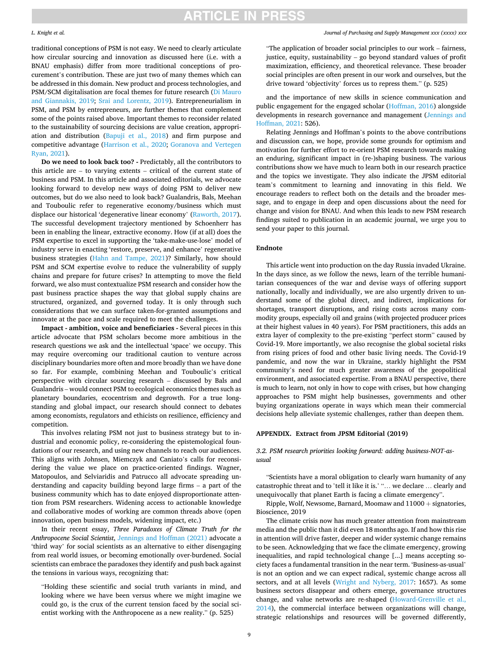## traditional conceptions of PSM is not easy. We need to clearly articulate how circular sourcing and innovation as discussed here (i.e. with a BNAU emphasis) differ from more traditional conceptions of procurement's contribution. These are just two of many themes which can be addressed in this domain. New product and process technologies, and PSM/SCM digitalisation are focal themes for future research [\(Di Mauro](#page-10-0)  [and Giannakis, 2019;](#page-10-0) [Srai and Lorentz, 2019](#page-11-0)). Entrepreneurialism in PSM, and PSM by entrepreneurs, are further themes that complement some of the points raised above. Important themes to reconsider related to the sustainability of sourcing decisions are value creation, appropriation and distribution ([Bapuji et al., 2018](#page-9-0)) and firm purpose and competitive advantage [\(Harrison et al., 2020;](#page-10-0) [Goranova and Vertegen](#page-10-0)  [Ryan, 2021](#page-10-0)).

**Do we need to look back too? -** Predictably, all the contributors to this article are – to varying extents – critical of the current state of business and PSM. In this article and associated editorials, we advocate looking forward to develop new ways of doing PSM to deliver new outcomes, but do we also need to look back? Gualandris, Bals, Meehan and Touboulic refer to regenerative economy/business which must displace our historical 'degenerative linear economy' ([Raworth, 2017](#page-11-0)). The successful development trajectory mentioned by Schoenherr has been in enabling the linear, extractive economy. How (if at all) does the PSM expertise to excel in supporting the 'take-make-use-lose' model of industry serve in enacting 'restore, preserve, and enhance' regenerative business strategies ([Hahn and Tampe, 2021](#page-10-0))? Similarly, how should PSM and SCM expertise evolve to reduce the vulnerability of supply chains and prepare for future crises? In attempting to move the field forward, we also must contextualize PSM research and consider how the past business practice shapes the way that global supply chains are structured, organized, and governed today. It is only through such considerations that we can surface taken-for-granted assumptions and innovate at the pace and scale required to meet the challenges.

**Impact - ambition, voice and beneficiaries -** Several pieces in this article advocate that PSM scholars become more ambitious in the research questions we ask and the intellectual 'space' we occupy. This may require overcoming our traditional caution to venture across disciplinary boundaries more often and more broadly than we have done so far. For example, combining Meehan and Touboulic's critical perspective with circular sourcing research – discussed by Bals and Gualandris – would connect PSM to ecological economics themes such as planetary boundaries, ecocentrism and degrowth. For a true longstanding and global impact, our research should connect to debates among economists, regulators and ethicists on resilience, efficiency and competition.

This involves relating PSM not just to business strategy but to industrial and economic policy, re-considering the epistemological foundations of our research, and using new channels to reach our audiences. This aligns with Johnsen, Miemczyk and Caniato's calls for reconsidering the value we place on practice-oriented findings. Wagner, Matopoulos, and Selviaridis and Patrucco all advocate spreading understanding and capacity building beyond large firms – a part of the business community which has to date enjoyed disproportionate attention from PSM researchers. Widening access to actionable knowledge and collaborative modes of working are common threads above (open innovation, open business models, widening impact, etc.)

In their recent essay, *Three Paradoxes of Climate Truth for the Anthropocene Social Scientist*, [Jennings and Hoffman \(2021\)](#page-10-0) advocate a 'third way' for social scientists as an alternative to either disengaging from real world issues, or becoming emotionally over-burdened. Social scientists can embrace the paradoxes they identify and push back against the tensions in various ways, recognizing that:

"Holding these scientific and social truth variants in mind, and looking where we have been versus where we might imagine we could go, is the crux of the current tension faced by the social scientist working with the Anthropocene as a new reality." (p. 525)

#### *Journal of Purchasing and Supply Management xxx (xxxx) xxx*

"The application of broader social principles to our work – fairness, justice, equity, sustainability – go beyond standard values of profit maximization, efficiency, and theoretical relevance. These broader social principles are often present in our work and ourselves, but the drive toward 'objectivity' forces us to repress them." (p. 525)

and the importance of new skills in science communication and public engagement for the engaged scholar [\(Hoffman, 2016\)](#page-10-0) alongside developments in research governance and management ([Jennings and](#page-10-0)  [Hoffman, 2021:](#page-10-0) 526).

Relating Jennings and Hoffman's points to the above contributions and discussion can, we hope, provide some grounds for optimism and motivation for further effort to re-orient PSM research towards making an enduring, significant impact in (re-)shaping business. The various contributions show we have much to learn both in our research practice and the topics we investigate. They also indicate the JPSM editorial team's commitment to learning and innovating in this field. We encourage readers to reflect both on the details and the broader message, and to engage in deep and open discussions about the need for change and vision for BNAU. And when this leads to new PSM research findings suited to publication in an academic journal, we urge you to send your paper to this journal.

### **Endnote**

This article went into production on the day Russia invaded Ukraine. In the days since, as we follow the news, learn of the terrible humanitarian consequences of the war and devise ways of offering support nationally, locally and individually, we are also urgently driven to understand some of the global direct, and indirect, implications for shortages, transport disruptions, and rising costs across many commodity groups, especially oil and grains (with projected producer prices at their highest values in 40 years). For PSM practitioners, this adds an extra layer of complexity to the pre-existing "perfect storm" caused by Covid-19. More importantly, we also recognise the global societal risks from rising prices of food and other basic living needs. The Covid-19 pandemic, and now the war in Ukraine, starkly highlight the PSM community's need for much greater awareness of the geopolitical environment, and associated expertise. From a BNAU perspective, there is much to learn, not only in how to cope with crises, but how changing approaches to PSM might help businesses, governments and other buying organizations operate in ways which mean their commercial decisions help alleviate systemic challenges, rather than deepen them.

### **APPENDIX. Extract from JPSM Editorial (2019)**

## *3.2. PSM research priorities looking forward: adding business-NOT-asusual*

"Scientists have a moral obligation to clearly warn humanity of any catastrophic threat and to 'tell it like it is.' "… we declare … clearly and unequivocally that planet Earth is facing a climate emergency".

Ripple, Wolf, Newsome, Barnard, Moomaw and 11000 + signatories, Bioscience, 2019

The climate crisis now has much greater attention from mainstream media and the public than it did even 18 months ago. If and how this rise in attention will drive faster, deeper and wider systemic change remains to be seen. Acknowledging that we face the climate emergency, growing inequalities, and rapid technological change [...] means accepting society faces a fundamental transition in the near term. 'Business-as-usual' is not an option and we can expect radical, systemic change across all sectors, and at all levels ([Wright and Nyberg, 2017](#page-11-0): 1657). As some business sectors disappear and others emerge, governance structures change, and value networks are re-shaped [\(Howard-Grenville et al.,](#page-10-0)  [2014\)](#page-10-0), the commercial interface between organizations will change, strategic relationships and resources will be governed differently,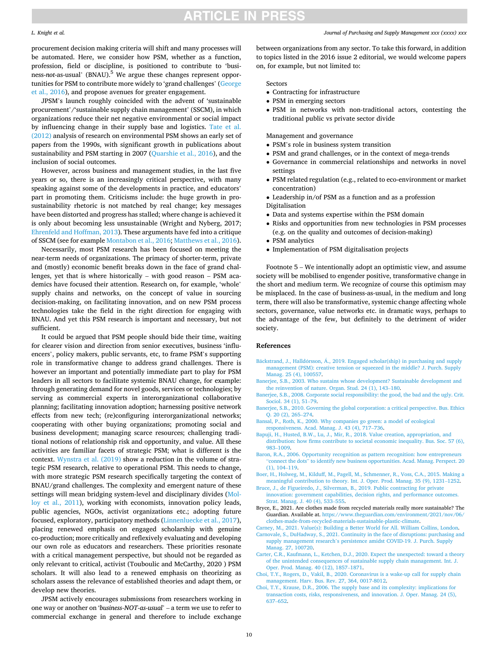#### <span id="page-9-0"></span>*L. Knight et al.*

procurement decision making criteria will shift and many processes will be automated. Here, we consider how PSM, whether as a function, profession, field or discipline, is positioned to contribute to 'business-*not*-as-usual' (BNAU).5 We argue these changes represent opportunities for PSM to contribute more widely to 'grand challenges' ([George](#page-10-0)  [et al., 2016\)](#page-10-0), and propose avenues for greater engagement.

JPSM's launch roughly coincided with the advent of 'sustainable procurement'/'sustainable supply chain management' (SSCM), in which organizations reduce their net negative environmental or social impact by influencing change in their supply base and logistics. [Tate et al.](#page-11-0)  [\(2012\)](#page-11-0) analysis of research on environmental PSM shows an early set of papers from the 1990s, with significant growth in publications about sustainability and PSM starting in 2007 [\(Quarshie et al., 2016\)](#page-11-0), and the inclusion of social outcomes.

However, across business and management studies, in the last five years or so, there is an increasingly critical perspective, with many speaking against some of the developments in practice, and educators' part in promoting them. Criticisms include: the huge growth in prosustainability rhetoric is not matched by real change; key messages have been distorted and progress has stalled; where change is achieved it is only about becoming less unsustainable (Wright and Nyberg, 2017; [Ehrenfeld and Hoffman, 2013](#page-10-0)). These arguments have fed into a critique of SSCM (see for example [Montabon et al., 2016](#page-11-0); [Matthews et al., 2016](#page-10-0)).

Necessarily, most PSM research has been focused on meeting the near-term needs of organizations. The primacy of shorter-term, private and (mostly) economic benefit breaks down in the face of grand challenges, yet that is where historically – with good reason – PSM academics have focused their attention. Research on, for example, 'whole' supply chains and networks, on the concept of value in sourcing decision-making, on facilitating innovation, and on new PSM process technologies take the field in the right direction for engaging with BNAU. And yet this PSM research is important and necessary, but not sufficient.

It could be argued that PSM people should bide their time, waiting for clearer vision and direction from senior executives, business 'influencers', policy makers, public servants, etc, to frame PSM's supporting role in transformative change to address grand challenges. There is however an important and potentially immediate part to play for PSM leaders in all sectors to facilitate systemic BNAU change, for example: through generating demand for novel goods, services or technologies; by serving as commercial experts in interorganizational collaborative planning; facilitating innovation adoption; harnessing positive network effects from new tech; (re)configuring interorganizational networks; cooperating with other buying organizations; promoting social and business development; managing scarce resources; challenging traditional notions of relationship risk and opportunity, and value. All these activities are familiar facets of strategic PSM; what is different is the context. [Wynstra et al. \(2019\)](#page-11-0) show a reduction in the volume of strategic PSM research, relative to operational PSM. This needs to change, with more strategic PSM research specifically targeting the context of BNAU/grand challenges. The complexity and emergent nature of these settings will mean bridging system-level and disciplinary divides [\(Mol](#page-11-0)[loy et al., 2011](#page-11-0)), working with economists, innovation policy leads, public agencies, NGOs, activist organizations etc.; adopting future focused, exploratory, participatory methods ([Linnenluecke et al., 2017](#page-10-0)), placing renewed emphasis on engaged scholarship with genuine co-production; more critically and reflexively evaluating and developing our own role as educators and researchers. These priorities resonate with a critical management perspective, but should not be regarded as only relevant to critical, activist (Touboulic and McCarthy, 2020 ) PSM scholars. It will also lead to a renewed emphasis on theorizing as scholars assess the relevance of established theories and adapt them, or develop new theories.

JPSM actively encourages submissions from researchers working in one way or another on '*business-NOT-as-usual*' – a term we use to refer to commercial exchange in general and therefore to include exchange

between organizations from any sector. To take this forward, in addition to topics listed in the 2016 issue 2 editorial, we would welcome papers on, for example, but not limited to:

Sectors

- Contracting for infrastructure
- PSM in emerging sectors
- PSM in networks with non-traditional actors, contesting the traditional public vs private sector divide

Management and governance

- PSM's role in business system transition
- PSM and grand challenges, or in the context of mega-trends
- Governance in commercial relationships and networks in novel settings
- PSM related regulation (e.g., related to eco-environment or market concentration)
- Leadership in/of PSM as a function and as a profession
- Digitalisation
- Data and systems expertise within the PSM domain
- Risks and opportunities from new technologies in PSM processes (e.g. on the quality and outcomes of decision-making)
- PSM analytics
- Implementation of PSM digitalisation projects

Footnote 5 – We intentionally adopt an optimistic view, and assume society will be mobilised to engender positive, transformative change in the short and medium term. We recognize of course this optimism may be misplaced. In the case of business-as-usual, in the medium and long term, there will also be transformative, systemic change affecting whole sectors, governance, value networks etc. in dramatic ways, perhaps to the advantage of the few, but definitely to the detriment of wider society.

#### **References**

- Bäckstrand, J., Halldórsson, Á., [2019. Engaged scholar\(ship\) in purchasing and supply](http://refhub.elsevier.com/S1478-4092(22)00008-5/sref1) [management \(PSM\): creative tension or squeezed in the middle? J. Purch. Supply](http://refhub.elsevier.com/S1478-4092(22)00008-5/sref1)  [Manag. 25 \(4\), 100557.](http://refhub.elsevier.com/S1478-4092(22)00008-5/sref1)
- [Banerjee, S.B., 2003. Who sustains whose development? Sustainable development and](http://refhub.elsevier.com/S1478-4092(22)00008-5/sref2) [the reinvention of nature. Organ. Stud. 24 \(1\), 143](http://refhub.elsevier.com/S1478-4092(22)00008-5/sref2)–180.
- [Banerjee, S.B., 2008. Corporate social responsibility: the good, the bad and the ugly. Crit.](http://refhub.elsevier.com/S1478-4092(22)00008-5/sref3)  [Sociol. 34 \(1\), 51](http://refhub.elsevier.com/S1478-4092(22)00008-5/sref3)–79.
- [Banerjee, S.B., 2010. Governing the global corporation: a critical perspective. Bus. Ethics](http://refhub.elsevier.com/S1478-4092(22)00008-5/sref4)  [Q. 20 \(2\), 265](http://refhub.elsevier.com/S1478-4092(22)00008-5/sref4)–274.
- [Bansal, P., Roth, K., 2000. Why companies go green: a model of ecological](http://refhub.elsevier.com/S1478-4092(22)00008-5/sref5) [responsiveness. Acad. Manag. J. 43 \(4\), 717](http://refhub.elsevier.com/S1478-4092(22)00008-5/sref5)–736.
- [Bapuji, H., Husted, B.W., Lu, J., Mir, R., 2018. Value creation, appropriation, and](http://refhub.elsevier.com/S1478-4092(22)00008-5/sref6) [distribution: how firms contribute to societal economic inequality. Bus. Soc. 57 \(6\),](http://refhub.elsevier.com/S1478-4092(22)00008-5/sref6)  983–[1009.](http://refhub.elsevier.com/S1478-4092(22)00008-5/sref6)
- [Baron, R.A., 2006. Opportunity recognition as pattern recognition: how entrepreneurs](http://refhub.elsevier.com/S1478-4092(22)00008-5/sref7) "connect the dots" [to identify new business opportunities. Acad. Manag. Perspect. 20](http://refhub.elsevier.com/S1478-4092(22)00008-5/sref7)  [\(1\), 104](http://refhub.elsevier.com/S1478-4092(22)00008-5/sref7)–119.
- [Boer, H., Holweg, M., Kilduff, M., Pagell, M., Schmenner, R., Voss, C.A., 2015. Making a](http://refhub.elsevier.com/S1478-4092(22)00008-5/sref8)  [meaningful contribution to theory. Int. J. Oper. Prod. Manag. 35 \(9\), 1231](http://refhub.elsevier.com/S1478-4092(22)00008-5/sref8)–1252.
- [Bruce, J., de Figueiredo, J., Silverman, B., 2019. Public contracting for private](http://refhub.elsevier.com/S1478-4092(22)00008-5/sref9) [innovation: government capabilities, decision rights, and performance outcomes.](http://refhub.elsevier.com/S1478-4092(22)00008-5/sref9) [Strat. Manag. J. 40 \(4\), 533](http://refhub.elsevier.com/S1478-4092(22)00008-5/sref9)–555.
- Bryce, E., 2021. Are clothes made from recycled materials really more sustainable? The Guardian. Available at. [https://www.theguardian.com/environment/2021/nov/06/](https://www.theguardian.com/environment/2021/nov/06/clothes-made-from-recycled-materials-sustainable-plastic-climate)  [clothes-made-from-recycled-materials-sustainable-plastic-climate.](https://www.theguardian.com/environment/2021/nov/06/clothes-made-from-recycled-materials-sustainable-plastic-climate)
- [Carney, M., 2021. Value\(s\): Building a Better World for All. William Collins, London](http://refhub.elsevier.com/S1478-4092(22)00008-5/sref11). [Carnovale, S., DuHadway, S., 2021. Continuity in the face of disruptions: purchasing and](http://refhub.elsevier.com/S1478-4092(22)00008-5/sref12)  supply management research'[s persistence amidst COVID-19. J. Purch. Supply](http://refhub.elsevier.com/S1478-4092(22)00008-5/sref12)  [Manag. 27, 100720](http://refhub.elsevier.com/S1478-4092(22)00008-5/sref12).
- [Carter, C.R., Kaufmann, L., Ketchen, D.J., 2020. Expect the unexpected: toward a theory](http://refhub.elsevier.com/S1478-4092(22)00008-5/sref13)  [of the unintended consequences of sustainable supply chain management. Int. J.](http://refhub.elsevier.com/S1478-4092(22)00008-5/sref13) [Oper. Prod. Manag. 40 \(12\), 1857](http://refhub.elsevier.com/S1478-4092(22)00008-5/sref13)–1871.
- [Choi, T.Y., Rogers, D., Vakil, B., 2020. Coronavirus is a wake-up call for supply chain](http://refhub.elsevier.com/S1478-4092(22)00008-5/sref14) [management. Harv. Bus. Rev. 27, 364, 0017-8012.](http://refhub.elsevier.com/S1478-4092(22)00008-5/sref14)
- [Choi, T.Y., Krause, D.R., 2006. The supply base and its complexity: implications for](http://refhub.elsevier.com/S1478-4092(22)00008-5/sref15) [transaction costs, risks, responsiveness, and innovation. J. Oper. Manag. 24 \(5\),](http://refhub.elsevier.com/S1478-4092(22)00008-5/sref15) 637–[652](http://refhub.elsevier.com/S1478-4092(22)00008-5/sref15).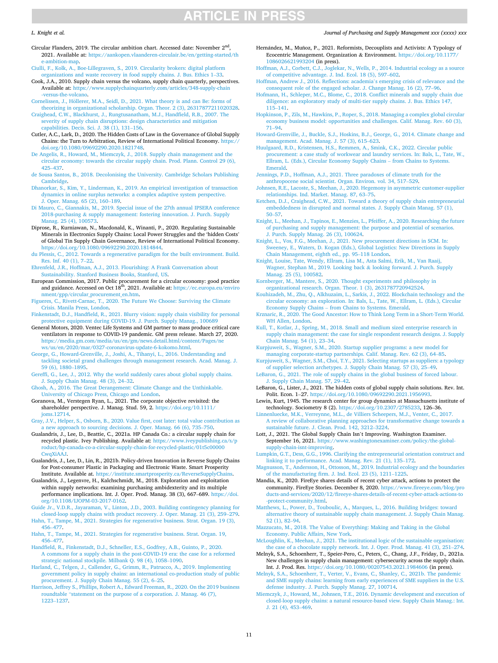#### <span id="page-10-0"></span>*L. Knight et al.*

Circular Flanders, 2019. The circular ambition chart. Accessed date: November 2<sup>nd</sup> 2021. Available at: [https://aankopen.vlaanderen-circulair.be/en/getting-started/th](https://aankopen.vlaanderen-circulair.be/en/getting-started/the-ambition-map) ambition-map.

[Ciulli, F., Kolk, A., Boe-Lillegraven, S., 2019. Circularity brokers: digital platform](http://refhub.elsevier.com/S1478-4092(22)00008-5/sref17)  [organizations and waste recovery in food supply chains. J. Bus. Ethics 1](http://refhub.elsevier.com/S1478-4092(22)00008-5/sref17)–33.

Cook, J.A., 2010. Supply chain versus the volcano, supply chain quarterly, perspectives. Available at: [https://www.supplychainquarterly.com/articles/348-supply-chain](https://www.supplychainquarterly.com/articles/348-supply-chain-versus-the-volcano) [-versus-the-volcano](https://www.supplychainquarterly.com/articles/348-supply-chain-versus-the-volcano).

Cornelissen, J., Höllerer, M.A., Seidl, D., 2021. What theory is and can Be: forms of [theorizing in organizational scholarship. Organ. Theor. 2 \(3\), 26317877211020328.](http://refhub.elsevier.com/S1478-4092(22)00008-5/sref19)

- [Craighead, C.W., Blackhurst, J., Rungtusanatham, M.J., Handfield, R.B., 2007. The](http://refhub.elsevier.com/S1478-4092(22)00008-5/sref20)  [severity of supply chain disruptions: design characteristics and mitigation](http://refhub.elsevier.com/S1478-4092(22)00008-5/sref20)  [capabilities. Decis. Sci. J. 38 \(1\), 131](http://refhub.elsevier.com/S1478-4092(22)00008-5/sref20)–156.
- Cutler, A.C., Lark, D., 2020. The Hidden Costs of Law in the Governance of Global Supply Chains: the Turn to Arbitration, Review of International Political Economy. [https://](https://doi.org/10.1080/09692290.2020.1821748)  [doi.org/10.1080/09692290.2020.1821748.](https://doi.org/10.1080/09692290.2020.1821748)

[De Angelis, R., Howard, M., Miemczyk, J., 2018. Supply chain management and the](http://refhub.elsevier.com/S1478-4092(22)00008-5/sref22) [circular economy: towards the circular supply chain. Prod. Plann. Control 29 \(6\),](http://refhub.elsevier.com/S1478-4092(22)00008-5/sref22)  425–[437](http://refhub.elsevier.com/S1478-4092(22)00008-5/sref22).

- [de Sousa Santos, B., 2018. Decolonising the University. Cambridge Scholars Publishing](http://refhub.elsevier.com/S1478-4092(22)00008-5/sref23)  [Cambridge](http://refhub.elsevier.com/S1478-4092(22)00008-5/sref23).
- [Dhanorkar, S., Kim, Y., Linderman, K., 2019. An empirical investigation of transaction](http://refhub.elsevier.com/S1478-4092(22)00008-5/sref24) [dynamics in online surplus networks: a complex adaptive system perspective.](http://refhub.elsevier.com/S1478-4092(22)00008-5/sref24)  [J. Oper. Manag. 65 \(2\), 160](http://refhub.elsevier.com/S1478-4092(22)00008-5/sref24)–189.
- [Di Mauro, C., Giannakis, M., 2019. Special issue of the 27th annual IPSERA conference](http://refhub.elsevier.com/S1478-4092(22)00008-5/sref25)  2018-purchasing & [supply management: fostering innovation. J. Purch. Supply](http://refhub.elsevier.com/S1478-4092(22)00008-5/sref25) [Manag. 25 \(4\), 100573.](http://refhub.elsevier.com/S1478-4092(22)00008-5/sref25)

Diprose, R., Kurniawan, N., Macdonald, K., Winanti, P., 2020. Regulating Sustainable Minerals in Electronics Supply Chains: Local Power Struggles and the 'hidden Costs' of Global Tin Supply Chain Governance, Review of International Political Economy. <https://doi.org/10.1080/09692290.2020.1814844>.

[du Plessis, C., 2012. Towards a regenerative paradigm for the built environment. Build.](http://refhub.elsevier.com/S1478-4092(22)00008-5/sref27)  [Res. Inf. 40 \(1\), 7](http://refhub.elsevier.com/S1478-4092(22)00008-5/sref27)–22.

[Ehrenfeld, J.R., Hoffman, A.J., 2013. Flourishing: A Frank Conversation about](http://refhub.elsevier.com/S1478-4092(22)00008-5/sref28) [Sustainability. Stanford Business Books, Stanford, US](http://refhub.elsevier.com/S1478-4092(22)00008-5/sref28).

European Commission, 2017. Public procurement for a circular economy: good practice and guidance. Accessed on Oct 18<sup>th</sup>, 2021. Available at: https://ec.europa.eu/enviro [nment/gpp/circular\\_procurement\\_en.htm.](https://ec.europa.eu/environment/gpp/circular_procurement_en.htm)

[Figueres, C., Rivett-Carnac, T., 2020. The Future We Choose: Surviving the Climate](http://refhub.elsevier.com/S1478-4092(22)00008-5/sref30)  [Crisis. Manila Press, London](http://refhub.elsevier.com/S1478-4092(22)00008-5/sref30).

[Finkenstadt, D.J., Handfield, R., 2021. Blurry vision: supply chain visibility for personal](http://refhub.elsevier.com/S1478-4092(22)00008-5/sref31)  [protective equipment during COVID-19. J. Purch. Supply Manag., 100689](http://refhub.elsevier.com/S1478-4092(22)00008-5/sref31) 

General Motors, 2020. Ventec Life Systems and GM partner to mass produce critical care ventilators in response to COVID-19 pandemic. GM press release. March 27, 2020. [https://media.gm.com/media/us/en/gm/news.detail.html/content/Pages/ne](https://media.gm.com/media/us/en/gm/news.detail.html/content/Pages/news/us/en/2020/mar/0327-coronavirus-update-6-kokomo.html)  [ws/us/en/2020/mar/0327-coronavirus-update-6-kokomo.html](https://media.gm.com/media/us/en/gm/news.detail.html/content/Pages/news/us/en/2020/mar/0327-coronavirus-update-6-kokomo.html).

[George, G., Howard-Grenville, J., Joshi, A., Tihanyi, L., 2016. Understanding and](http://refhub.elsevier.com/S1478-4092(22)00008-5/optHs5CPwWrbs) [tackling societal grand challenges through management research. Acad. Manag. J.](http://refhub.elsevier.com/S1478-4092(22)00008-5/optHs5CPwWrbs) [59 \(6\), 1880](http://refhub.elsevier.com/S1478-4092(22)00008-5/optHs5CPwWrbs)–1895.

[Gereffi, G., Lee, J., 2012. Why the world suddenly cares about global supply chains.](http://refhub.elsevier.com/S1478-4092(22)00008-5/sref33) [J. Supply Chain Manag. 48 \(3\), 24](http://refhub.elsevier.com/S1478-4092(22)00008-5/sref33)–32.

[Ghosh, A., 2016. The Great Derangement: Climate Change and the Unthinkable.](http://refhub.elsevier.com/S1478-4092(22)00008-5/sref34)  [University of Chicago Press, Chicago and London.](http://refhub.elsevier.com/S1478-4092(22)00008-5/sref34)

Goranova, M., Verstegen Ryan, L., 2021. The corporate objective revisited: the shareholder perspective. J. Manag. Stud. 59, 2. [https://doi.org/10.1111/](https://doi.org/10.1111/joms.12714)  [joms.12714.](https://doi.org/10.1111/joms.12714)

[Gray, J.V., Helper, S., Osborn, B., 2020. Value first, cost later: total value contribution as](http://refhub.elsevier.com/S1478-4092(22)00008-5/sref36)  [a new approach to sourcing decisions. J. Oper. Manag. 66 \(6\), 735](http://refhub.elsevier.com/S1478-4092(22)00008-5/sref36)–750.

Gualandris, J., Lee, D., Beattie, C., 2021a. HP Canada Co.: a circular supply chain for recycled plastic. Ivey Publishing. Available at: https://www.iveypublishing.ca [roduct/hp-canada-co-a-circular-supply-chain-for-recycled-plastic/01t5c00000](https://www.iveypublishing.ca/s/product/hp-canada-co-a-circular-supply-chain-for-recycled-plastic/01t5c00000CwqXiAAJ)  [CwqXiAAJ.](https://www.iveypublishing.ca/s/product/hp-canada-co-a-circular-supply-chain-for-recycled-plastic/01t5c00000CwqXiAAJ)

Gualandris, J., Lee, D., Lin, R., 2021b. Policy-driven Innovation in Reverse Supply Chains for Post-consumer Plastic in Packaging and Electronic Waste. Smart Prosperity Institute. Available at. <https://institute.smartprosperity.ca/ReverseSupplyChains>.

Gualandris, J., Legenvre, H., Kalchschmidt, M., 2018. Exploration and exploitation within supply networks: examining purchasing ambidexterity and its multiple performance implications. Int. J. Oper. Prod. Manag. 38 (3), 667–689. [https://doi.](https://doi.org/10.1108/IJOPM-03-2017-0162)  [org/10.1108/IJOPM-03-2017-0162.](https://doi.org/10.1108/IJOPM-03-2017-0162)

[Guide Jr., V.D.R., Jayaraman, V., Linton, J.D., 2003. Building contingency planning for](http://refhub.elsevier.com/S1478-4092(22)00008-5/sref40)  [closed-loop supply chains with product recovery. J. Oper. Manag. 21 \(3\), 259](http://refhub.elsevier.com/S1478-4092(22)00008-5/sref40)–279.

[Hahn, T., Tampe, M., 2021. Strategies for regenerative business. Strat. Organ. 19 \(3\),](http://refhub.elsevier.com/S1478-4092(22)00008-5/sref41) 456–[477](http://refhub.elsevier.com/S1478-4092(22)00008-5/sref41).

[Hahn, T., Tampe, M., 2021. Strategies for regenerative business. Strat. Organ. 19,](http://refhub.elsevier.com/S1478-4092(22)00008-5/sref42)  456–[477](http://refhub.elsevier.com/S1478-4092(22)00008-5/sref42).

[Handfield, R., Finkenstadt, D.J., Schneller, E.S., Godfrey, A.B., Guinto, P., 2020.](http://refhub.elsevier.com/S1478-4092(22)00008-5/sref43) [A commons for a supply chain in the post-COVID-19 era: the case for a reformed](http://refhub.elsevier.com/S1478-4092(22)00008-5/sref43) [strategic national stockpile. Milbank Q. 98 \(4\), 1058](http://refhub.elsevier.com/S1478-4092(22)00008-5/sref43)–1090.

[Harland, C., Telgen, J., Callender, G., Grimm, R., Patrucco, A., 2019. Implementing](http://refhub.elsevier.com/S1478-4092(22)00008-5/sref44) [government policy in supply chains: an international co-production study of public](http://refhub.elsevier.com/S1478-4092(22)00008-5/sref44)  [procurement. J. Supply Chain Manag. 55 \(2\), 6](http://refhub.elsevier.com/S1478-4092(22)00008-5/sref44)–25.

[Harrison, Jeffrey S., Phillips, Robert A., Edward Freeman, R., 2020. On the 2019 business](http://refhub.elsevier.com/S1478-4092(22)00008-5/sref45)  roundtable "[statement on the purpose of a corporation. J. Manag. 46 \(7\),](http://refhub.elsevier.com/S1478-4092(22)00008-5/sref45) [1223](http://refhub.elsevier.com/S1478-4092(22)00008-5/sref45)–1237.

Hernández, M., Muñoz, P., 2021. Reformists, Decouplists and Activists: A Typology of Ecocentric Management. Organization & Environment. https://doi.org/10.117

[1086026621993204](https://doi.org/10.1177/1086026621993204) (in press). [Hoffman, A.J., Corbett, C.J., Joglekar, N., Wells, P., 2014. Industrial ecology as a source](http://refhub.elsevier.com/S1478-4092(22)00008-5/sref47)  [of competitive advantage. J. Ind. Ecol. 18 \(5\), 597](http://refhub.elsevier.com/S1478-4092(22)00008-5/sref47)–602.

[Hoffman, Andrew J., 2016. Reflections: academia](http://refhub.elsevier.com/S1478-4092(22)00008-5/sref48)'s emerging crisis of relevance and the [consequent role of the engaged scholar. J. Change Manag. 16 \(2\), 77](http://refhub.elsevier.com/S1478-4092(22)00008-5/sref48)–96.

[Hofmann, H., Schleper, M.C., Blome, C., 2018. Conflict minerals and supply chain due](http://refhub.elsevier.com/S1478-4092(22)00008-5/sref49)  [diligence: an exploratory study of multi-tier supply chains. J. Bus. Ethics 147,](http://refhub.elsevier.com/S1478-4092(22)00008-5/sref49)  115–[141](http://refhub.elsevier.com/S1478-4092(22)00008-5/sref49).

[Hopkinson, P., Zils, M., Hawkins, P., Roper, S., 2018. Managing a complex global circular](http://refhub.elsevier.com/S1478-4092(22)00008-5/sref50)  [economy business model: opportunities and challenges. Calif. Manag. Rev. 60 \(3\),](http://refhub.elsevier.com/S1478-4092(22)00008-5/sref50)  71–[94](http://refhub.elsevier.com/S1478-4092(22)00008-5/sref50).

[Howard-Grenville, J., Buckle, S.J., Hoskins, B.J., George, G., 2014. Climate change and](http://refhub.elsevier.com/S1478-4092(22)00008-5/optg8swb23Vfw)  [management. Acad. Manag. J. 57 \(3\), 615](http://refhub.elsevier.com/S1478-4092(22)00008-5/optg8swb23Vfw)–623.

[Huulgaard, R.D., Kristensen, H.S., Remmen, A., Smink, C.K., 2022. Circular public](http://refhub.elsevier.com/S1478-4092(22)00008-5/sref52) [procurement: a case study of workwear and laundry services. In: Bals, L., Tate, W.,](http://refhub.elsevier.com/S1478-4092(22)00008-5/sref52)  [Ellram, L. \(Eds.\), Circular Economy Supply Chains](http://refhub.elsevier.com/S1478-4092(22)00008-5/sref52) – from Chains to Systems. **[Emerald](http://refhub.elsevier.com/S1478-4092(22)00008-5/sref52)** 

[Jennings, P.D., Hoffman, A.J., 2021. Three paradoxes of climate truth for the](http://refhub.elsevier.com/S1478-4092(22)00008-5/sref53)  [anthropocene social scientist. Organ. Environ. vol. 34, 517](http://refhub.elsevier.com/S1478-4092(22)00008-5/sref53)–529.

[Johnsen, R.E., Lacoste, S., Meehan, J., 2020. Hegemony in asymmetric customer-supplier](http://refhub.elsevier.com/S1478-4092(22)00008-5/sref54)  [relationships. Ind. Market. Manag. 87, 63](http://refhub.elsevier.com/S1478-4092(22)00008-5/sref54)–75.

[Ketchen, D.J., Craighead, C.W., 2021. Toward a theory of supply chain entrepreneurial](http://refhub.elsevier.com/S1478-4092(22)00008-5/sref55)  [embeddedness in disrupted and normal states. J. Supply Chain Manag. 57 \(1\),](http://refhub.elsevier.com/S1478-4092(22)00008-5/sref55) 50–[57](http://refhub.elsevier.com/S1478-4092(22)00008-5/sref55).

[Knight, L., Meehan, J., Tapinos, E., Menzies, L., Pfeiffer, A., 2020. Researching the future](http://refhub.elsevier.com/S1478-4092(22)00008-5/sref56)  [of purchasing and supply management: the purpose and potential of scenarios.](http://refhub.elsevier.com/S1478-4092(22)00008-5/sref56)  [J. Purch. Supply Manag. 26 \(3\), 100624](http://refhub.elsevier.com/S1478-4092(22)00008-5/sref56).

[Knight, L., Vos, F.G., Meehan, J., 2021. New procurement directions in SCM. In:](http://refhub.elsevier.com/S1478-4092(22)00008-5/sref57) [Sweeney, E., Waters, D. Kogan \(Eds.\), Global Logistics: New Directions in Supply](http://refhub.elsevier.com/S1478-4092(22)00008-5/sref57)  [Chain Management, eighth ed., pp. 95](http://refhub.elsevier.com/S1478-4092(22)00008-5/sref57)–118 London.

[Knight, Louise, Tate, Wendy, Ellram, Lisa M., Asta Salmi, Erik, M., Van Raaij,](http://refhub.elsevier.com/S1478-4092(22)00008-5/sref58) [Wagner, Stephan M., 2019. Looking back](http://refhub.elsevier.com/S1478-4092(22)00008-5/sref58) & looking forward. J. Purch. Supply [Manag. 25 \(5\), 100582.](http://refhub.elsevier.com/S1478-4092(22)00008-5/sref58)

[Kornberger, M., Mantere, S., 2020. Thought experiments and philosophy in](http://refhub.elsevier.com/S1478-4092(22)00008-5/sref59)  [organizational research. Organ. Theor. 1 \(3\), 2631787720942524](http://refhub.elsevier.com/S1478-4092(22)00008-5/sref59).

[Kouhizadeh, M., Zhu, Q., Alkhuzaim, L., Sarkis, J., 2022. Blockchain technology and the](http://refhub.elsevier.com/S1478-4092(22)00008-5/sref60)  [circular economy: an exploration. In: Bals, L., Tate, W., Ellram, L. \(Eds.\), Circular](http://refhub.elsevier.com/S1478-4092(22)00008-5/sref60)  Economy Supply Chains – [from Chains to Systems. Emerald.](http://refhub.elsevier.com/S1478-4092(22)00008-5/sref60)

[Krznaric, R., 2020. The Good Ancestor: How to Think Long Term in a Short-Term World.](http://refhub.elsevier.com/S1478-4092(22)00008-5/sref61)  [WH Allen, London](http://refhub.elsevier.com/S1478-4092(22)00008-5/sref61).

[Kull, T., Kotlar, J., Spring, M., 2018. Small and medium sized enterprise research in](http://refhub.elsevier.com/S1478-4092(22)00008-5/sref62)  [supply chain management: the case for single respondent research designs. J. Supply](http://refhub.elsevier.com/S1478-4092(22)00008-5/sref62)  [Chain Manag. 54 \(1\), 23](http://refhub.elsevier.com/S1478-4092(22)00008-5/sref62)–34.

[Kurpjuweit, S., Wagner, S.M., 2020. Startup supplier programs: a new model for](http://refhub.elsevier.com/S1478-4092(22)00008-5/sref63) [managing corporate-startup partnerships. Calif. Manag. Rev. 62 \(3\), 64](http://refhub.elsevier.com/S1478-4092(22)00008-5/sref63)–85.

[Kurpjuweit, S., Wagner, S.M., Choi, T.Y., 2021. Selecting startups as suppliers: a typology](http://refhub.elsevier.com/S1478-4092(22)00008-5/sref64)  [of supplier selection archetypes. J. Supply Chain Manag. 57 \(3\), 25](http://refhub.elsevier.com/S1478-4092(22)00008-5/sref64)–49.

[LeBaron, G., 2021. The role of supply chains in the global business of forced labour.](http://refhub.elsevier.com/S1478-4092(22)00008-5/sref65)  [J. Supply Chain Manag. 57, 29](http://refhub.elsevier.com/S1478-4092(22)00008-5/sref65)–42.

LeBaron, G., Lister, J., 2021. The hidden costs of global supply chain solutions. Rev. Int. Polit. Econ. 1–27. [https://doi.org/10.1080/09692290.2021.1956993.](https://doi.org/10.1080/09692290.2021.1956993)

Lewin, Kurt, 1945. The research center for group dynamics at Massachusetts institute of technology. Sociometry 8 (2).<https://doi.org/10.2307/2785233>, 126–36.

[Linnenluecke, M.K., Verreynne, M.L., de Villiers Scheepers, M.J., Venter, C., 2017.](http://refhub.elsevier.com/S1478-4092(22)00008-5/sref136) [A review of collaborative planning approaches for transformative change towards a](http://refhub.elsevier.com/S1478-4092(22)00008-5/sref136)  [sustainable future. J. Clean. Prod. 142, 3212](http://refhub.elsevier.com/S1478-4092(22)00008-5/sref136)–3224.

Lott, J., 2021. The Global Supply Chain Isn't Improving. Washington Examiner. September 16, 2021. [https://www.washingtonexaminer.com/policy/the-global](https://www.washingtonexaminer.com/policy/the-global-supply-chain-isnt-improving)[supply-chain-isnt-improving](https://www.washingtonexaminer.com/policy/the-global-supply-chain-isnt-improving).

[Lumpkin, G.T., Dess, G.G., 1996. Clarifying the entrepreneurial orientation construct and](http://refhub.elsevier.com/S1478-4092(22)00008-5/sref69)  [linking it to performance. Acad. Manag. Rev. 21 \(1\), 135](http://refhub.elsevier.com/S1478-4092(22)00008-5/sref69)–172.

[Magnusson, T., Andersson, H., Ottosson, M., 2019. Industrial ecology and the boundaries](http://refhub.elsevier.com/S1478-4092(22)00008-5/sref70)  [of the manufacturing firm. J. Ind. Ecol. 23 \(5\), 1211](http://refhub.elsevier.com/S1478-4092(22)00008-5/sref70)–1225.

Mandia, K., 2020. FireEye shares details of recent cyber attack, actions to protect the community. FireEye Stories. December 8, 2020. [https://www.fireeye.com/blog/pro](https://www.fireeye.com/blog/products-and-services/2020/12/fireeye-shares-details-of-recent-cyber-attack-actions-to-protect-community.html)  [ducts-and-services/2020/12/fireeye-shares-details-of-recent-cyber-attack-actions-to](https://www.fireeye.com/blog/products-and-services/2020/12/fireeye-shares-details-of-recent-cyber-attack-actions-to-protect-community.html)  [-protect-community.html.](https://www.fireeye.com/blog/products-and-services/2020/12/fireeye-shares-details-of-recent-cyber-attack-actions-to-protect-community.html)

[Matthews, L., Power, D., Touboulic, A., Marques, L., 2016. Building bridges: toward](http://refhub.elsevier.com/S1478-4092(22)00008-5/sref72)  [alternative theory of sustainable supply chain management. J. Supply Chain Manag.](http://refhub.elsevier.com/S1478-4092(22)00008-5/sref72)  [52 \(1\), 82](http://refhub.elsevier.com/S1478-4092(22)00008-5/sref72)–94.

[Mazzucato, M., 2018. The Value of Everything: Making and Taking in the Global](http://refhub.elsevier.com/S1478-4092(22)00008-5/sref73) [Economy. Public Affairs, New York](http://refhub.elsevier.com/S1478-4092(22)00008-5/sref73).

[McLoughlin, K., Meehan, J., 2021. The institutional logic of the sustainable organisation:](http://refhub.elsevier.com/S1478-4092(22)00008-5/sref74)  [the case of a chocolate supply network. Int. J. Oper. Prod. Manag. 41 \(3\), 251](http://refhub.elsevier.com/S1478-4092(22)00008-5/sref74)–274.

Melnyk, S.A., Schoenherr, T., Speier-Pero, C., Peters, C., Chang, J.F., Friday, D., 2021a. New challenges in supply chain management: cybersecurity across the supply chain. Int. J. Prod. Res. <https://doi.org/10.1080/00207543.2021.1984606>(in press).

[Melnyk, S.A., Schoenherr, T., Verter, V., Evans, C., Shanley, C., 2021b. The pandemic](http://refhub.elsevier.com/S1478-4092(22)00008-5/sref76) [and SME supply chains: learning from early experiences of SME suppliers in the U.S.](http://refhub.elsevier.com/S1478-4092(22)00008-5/sref76)  [defense industry. J. Purch. Supply Manag. 27, 100714.](http://refhub.elsevier.com/S1478-4092(22)00008-5/sref76)

[Miemczyk, J., Howard, M., Johnsen, T.E., 2016. Dynamic development and execution of](http://refhub.elsevier.com/S1478-4092(22)00008-5/sref77)  [closed-loop supply chains: a natural resource-based view. Supply Chain Manag.: Int.](http://refhub.elsevier.com/S1478-4092(22)00008-5/sref77)  [J. 21 \(4\), 453](http://refhub.elsevier.com/S1478-4092(22)00008-5/sref77)–469.

#### *Journal of Purchasing and Supply Management xxx (xxxx) xxx*